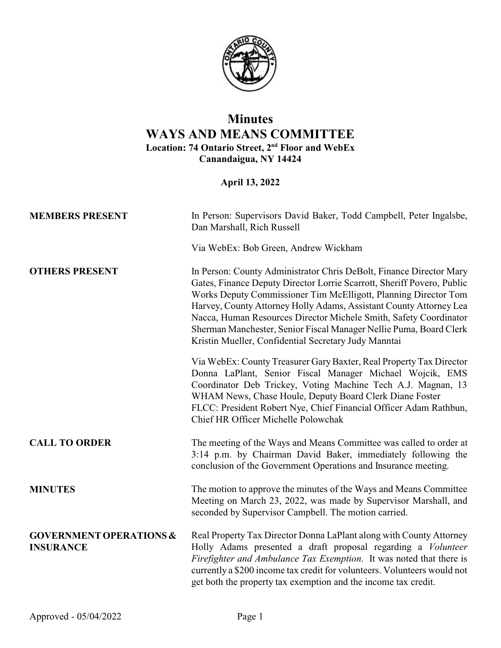

## **Minutes WAYS AND MEANS COMMITTEE Location: 74 Ontario Street, 2nd Floor and WebEx Canandaigua, NY 14424**

**April 13, 2022**

| <b>MEMBERS PRESENT</b>                                 | In Person: Supervisors David Baker, Todd Campbell, Peter Ingalsbe,<br>Dan Marshall, Rich Russell                                                                                                                                                                                                                                                                                                                                                                                          |
|--------------------------------------------------------|-------------------------------------------------------------------------------------------------------------------------------------------------------------------------------------------------------------------------------------------------------------------------------------------------------------------------------------------------------------------------------------------------------------------------------------------------------------------------------------------|
|                                                        | Via WebEx: Bob Green, Andrew Wickham                                                                                                                                                                                                                                                                                                                                                                                                                                                      |
| <b>OTHERS PRESENT</b>                                  | In Person: County Administrator Chris DeBolt, Finance Director Mary<br>Gates, Finance Deputy Director Lorrie Scarrott, Sheriff Povero, Public<br>Works Deputy Commissioner Tim McElligott, Planning Director Tom<br>Harvey, County Attorney Holly Adams, Assistant County Attorney Lea<br>Nacca, Human Resources Director Michele Smith, Safety Coordinator<br>Sherman Manchester, Senior Fiscal Manager Nellie Puma, Board Clerk<br>Kristin Mueller, Confidential Secretary Judy Manntai |
|                                                        | Via WebEx: County Treasurer Gary Baxter, Real Property Tax Director<br>Donna LaPlant, Senior Fiscal Manager Michael Wojcik, EMS<br>Coordinator Deb Trickey, Voting Machine Tech A.J. Magnan, 13<br>WHAM News, Chase Houle, Deputy Board Clerk Diane Foster<br>FLCC: President Robert Nye, Chief Financial Officer Adam Rathbun,<br>Chief HR Officer Michelle Polowchak                                                                                                                    |
| <b>CALL TO ORDER</b>                                   | The meeting of the Ways and Means Committee was called to order at<br>3:14 p.m. by Chairman David Baker, immediately following the<br>conclusion of the Government Operations and Insurance meeting.                                                                                                                                                                                                                                                                                      |
| <b>MINUTES</b>                                         | The motion to approve the minutes of the Ways and Means Committee<br>Meeting on March 23, 2022, was made by Supervisor Marshall, and<br>seconded by Supervisor Campbell. The motion carried.                                                                                                                                                                                                                                                                                              |
| <b>GOVERNMENT OPERATIONS &amp;</b><br><b>INSURANCE</b> | Real Property Tax Director Donna LaPlant along with County Attorney<br>Holly Adams presented a draft proposal regarding a <i>Volunteer</i><br>Firefighter and Ambulance Tax Exemption. It was noted that there is<br>currently a \$200 income tax credit for volunteers. Volunteers would not<br>get both the property tax exemption and the income tax credit.                                                                                                                           |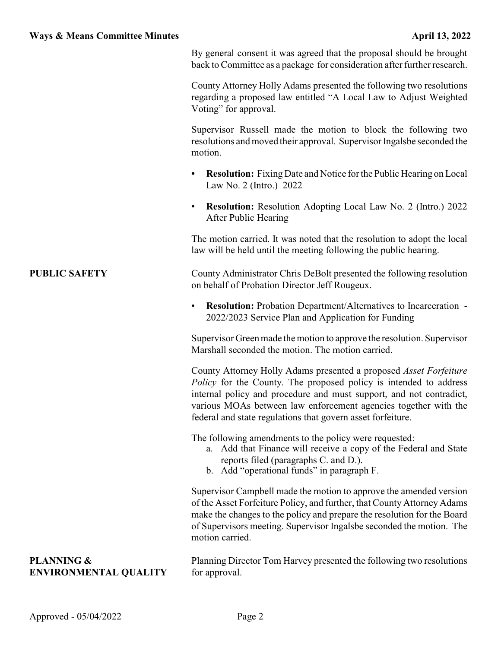|                                                       | By general consent it was agreed that the proposal should be brought<br>back to Committee as a package for consideration after further research.                                                                                                                                                                                                       |
|-------------------------------------------------------|--------------------------------------------------------------------------------------------------------------------------------------------------------------------------------------------------------------------------------------------------------------------------------------------------------------------------------------------------------|
|                                                       | County Attorney Holly Adams presented the following two resolutions<br>regarding a proposed law entitled "A Local Law to Adjust Weighted<br>Voting" for approval.                                                                                                                                                                                      |
|                                                       | Supervisor Russell made the motion to block the following two<br>resolutions and moved their approval. Supervisor Ingalsbe seconded the<br>motion.                                                                                                                                                                                                     |
|                                                       | <b>Resolution:</b> Fixing Date and Notice for the Public Hearing on Local<br>Law No. 2 (Intro.) 2022                                                                                                                                                                                                                                                   |
|                                                       | <b>Resolution:</b> Resolution Adopting Local Law No. 2 (Intro.) 2022<br>$\bullet$<br>After Public Hearing                                                                                                                                                                                                                                              |
|                                                       | The motion carried. It was noted that the resolution to adopt the local<br>law will be held until the meeting following the public hearing.                                                                                                                                                                                                            |
| <b>PUBLIC SAFETY</b>                                  | County Administrator Chris DeBolt presented the following resolution<br>on behalf of Probation Director Jeff Rougeux.                                                                                                                                                                                                                                  |
|                                                       | <b>Resolution:</b> Probation Department/Alternatives to Incarceration -<br>2022/2023 Service Plan and Application for Funding                                                                                                                                                                                                                          |
|                                                       | Supervisor Green made the motion to approve the resolution. Supervisor<br>Marshall seconded the motion. The motion carried.                                                                                                                                                                                                                            |
|                                                       | County Attorney Holly Adams presented a proposed <i>Asset Forfeiture</i><br>Policy for the County. The proposed policy is intended to address<br>internal policy and procedure and must support, and not contradict,<br>various MOAs between law enforcement agencies together with the<br>federal and state regulations that govern asset forfeiture. |
|                                                       | The following amendments to the policy were requested:<br>Add that Finance will receive a copy of the Federal and State<br>a.<br>reports filed (paragraphs C. and D.).<br>b. Add "operational funds" in paragraph F.                                                                                                                                   |
|                                                       | Supervisor Campbell made the motion to approve the amended version<br>of the Asset Forfeiture Policy, and further, that County Attorney Adams<br>make the changes to the policy and prepare the resolution for the Board<br>of Supervisors meeting. Supervisor Ingalsbe seconded the motion. The<br>motion carried.                                    |
| <b>PLANNING &amp;</b><br><b>ENVIRONMENTAL QUALITY</b> | Planning Director Tom Harvey presented the following two resolutions<br>for approval.                                                                                                                                                                                                                                                                  |
|                                                       |                                                                                                                                                                                                                                                                                                                                                        |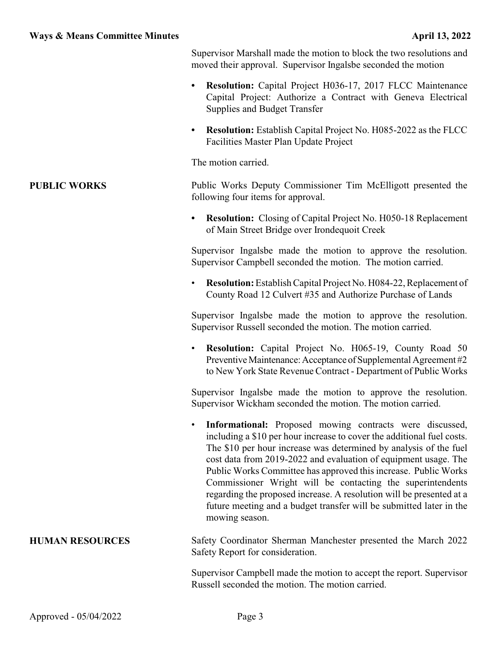Supervisor Marshall made the motion to block the two resolutions and moved their approval. Supervisor Ingalsbe seconded the motion

- **• Resolution:** Capital Project H036-17, 2017 FLCC Maintenance Capital Project: Authorize a Contract with Geneva Electrical Supplies and Budget Transfer
- **• Resolution:** Establish Capital Project No. H085-2022 as the FLCC Facilities Master Plan Update Project

The motion carried.

## **PUBLIC WORKS** Public Works Deputy Commissioner Tim McElligott presented the following four items for approval.

**• Resolution:** Closing of Capital Project No. H050-18 Replacement of Main Street Bridge over Irondequoit Creek

Supervisor Ingalsbe made the motion to approve the resolution. Supervisor Campbell seconded the motion. The motion carried.

• **Resolution:**Establish Capital Project No. H084-22, Replacement of County Road 12 Culvert #35 and Authorize Purchase of Lands

Supervisor Ingalsbe made the motion to approve the resolution. Supervisor Russell seconded the motion. The motion carried.

• **Resolution:** Capital Project No. H065-19, County Road 50 Preventive Maintenance: Acceptance of Supplemental Agreement #2 to New York State Revenue Contract - Department of Public Works

Supervisor Ingalsbe made the motion to approve the resolution. Supervisor Wickham seconded the motion. The motion carried.

**Informational:** Proposed mowing contracts were discussed, including a \$10 per hour increase to cover the additional fuel costs. The \$10 per hour increase was determined by analysis of the fuel cost data from 2019-2022 and evaluation of equipment usage. The Public Works Committee has approved this increase. Public Works Commissioner Wright will be contacting the superintendents regarding the proposed increase. A resolution will be presented at a future meeting and a budget transfer will be submitted later in the mowing season.

## **HUMAN RESOURCES** Safety Coordinator Sherman Manchester presented the March 2022 Safety Report for consideration.

Supervisor Campbell made the motion to accept the report. Supervisor Russell seconded the motion. The motion carried.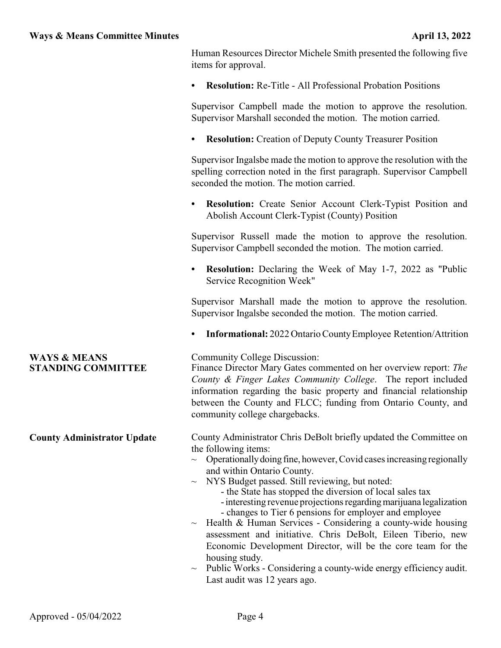Human Resources Director Michele Smith presented the following five items for approval.

**• Resolution:** Re-Title - All Professional Probation Positions

Supervisor Campbell made the motion to approve the resolution. Supervisor Marshall seconded the motion. The motion carried.

**• Resolution:** Creation of Deputy County Treasurer Position

Supervisor Ingalsbe made the motion to approve the resolution with the spelling correction noted in the first paragraph. Supervisor Campbell seconded the motion. The motion carried.

**• Resolution:** Create Senior Account Clerk-Typist Position and Abolish Account Clerk-Typist (County) Position

Supervisor Russell made the motion to approve the resolution. Supervisor Campbell seconded the motion. The motion carried.

**• Resolution:** Declaring the Week of May 1-7, 2022 as "Public Service Recognition Week"

Supervisor Marshall made the motion to approve the resolution. Supervisor Ingalsbe seconded the motion. The motion carried.

**Informational:** 2022 Ontario County Employee Retention/Attrition

## **WAYS & MEANS STANDING COMMITTEE**

Community College Discussion:

Finance Director Mary Gates commented on her overview report: *The County & Finger Lakes Community College*. The report included information regarding the basic property and financial relationship between the County and FLCC; funding from Ontario County, and community college chargebacks.

**County Administrator Update** County Administrator Chris DeBolt briefly updated the Committee on the following items:

- $\sim$  Operationally doing fine, however, Covid cases increasing regionally and within Ontario County.
- $\sim$  NYS Budget passed. Still reviewing, but noted:
	- the State has stopped the diversion of local sales tax
	- interesting revenue projections regarding marijuana legalization - changes to Tier 6 pensions for employer and employee
- $\sim$  Health & Human Services Considering a county-wide housing assessment and initiative. Chris DeBolt, Eileen Tiberio, new Economic Development Director, will be the core team for the housing study.
- Public Works Considering a county-wide energy efficiency audit. Last audit was 12 years ago.